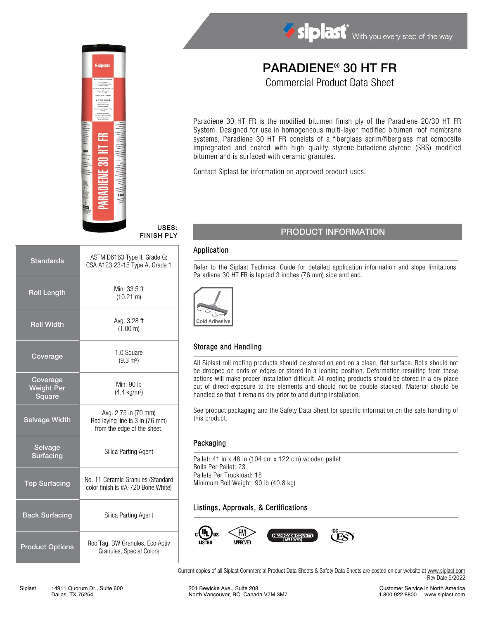

# PARADIENE® 30 HT FR Commercial Product Data Sheet

Paradiene 30 HT FR is the modified bitumen finish ply of the Paradiene 20/30 HT FR System. Designed for use in homogeneous multi-layer modified bitumen roof membrane systems, Paradiene 30 HT FR consists of a fiberglass scrim/fiberglass mat composite impregnated and coated with high quality styrene-butadiene-styrene (SBS) modified

Contact Siplast for information on approved product uses.

bitumen and is surfaced with ceramic granules.

#### USES: FINISH PLY

| <b>Standards</b>                               | ASTM D6163 Type II, Grade G;<br>CSA A123.23-15 Type A, Grade 1                         |  |
|------------------------------------------------|----------------------------------------------------------------------------------------|--|
| <b>Roll Length</b>                             | Min: 33.5 ft<br>$(10.21 \text{ m})$                                                    |  |
| <b>Roll Width</b>                              | Avg: 3.28 ft<br>(1.00 m)                                                               |  |
| Coverage                                       | 1.0 Square<br>$(9.3 \text{ m}^2)$                                                      |  |
| Coverage<br><b>Weight Per</b><br><b>Square</b> | Min: 90 lb<br>$(4.4 \text{ kg/m}^2)$                                                   |  |
| <b>Selvage Width</b>                           | Avg. 2.75 in (70 mm)<br>Red laying line is 3 in (76 mm)<br>from the edge of the sheet. |  |
| Selvage<br>Surfacing                           | Silica Parting Agent                                                                   |  |
| <b>Top Surfacing</b>                           | No. 11 Ceramic Granules (Standard<br>color finish is #A-720 Bone White)                |  |
| <b>Back Surfacing</b>                          | <b>Silica Parting Agent</b>                                                            |  |
| <b>Product Options</b>                         | RoofTag, BW Granules, Eco Activ<br>Granules, Special Colors                            |  |

## PRODUCT INFORMATION

#### Application

Refer to the Siplast Technical Guide for detailed application information and slope limitations. Paradiene 30 HT FR is lapped 3 inches (76 mm) side and end.



### Storage and Handling

All Siplast roll roofing products should be stored on end on a clean, flat surface. Rolls should not be dropped on ends or edges or stored in a leaning position. Deformation resulting from these actions will make proper installation difficult. All roofing products should be stored in a dry place out of direct exposure to the elements and should not be double stacked. Material should be handled so that it remains dry prior to and during installation.

See product packaging and the Safety Data Sheet for specific information on the safe handling of this product.

#### Packaging

Pallet: 41 in x 48 in (104 cm x 122 cm) wooden pallet Rolls Per Pallet: 23 Pallets Per Truckload: 18 Minimum Roll Weight: 90 lb (40.8 kg)

### Listings, Approvals, & Certifications



Current copies of all Siplast Commercial Product Data Sheets & Safety Data Sheets are posted on our website at [www.siplast.com](http://www.siplast.com/) Rev Date 5/2022